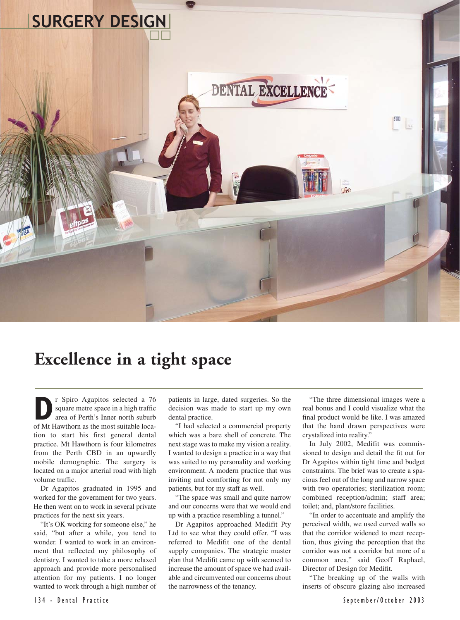

## **Excellence in a tight space**

**D**r Spiro Agapitos selected a 76 square metre space in a high traffic area of Perth's Inner north suburb of Mt Hawthorn as the most suitable location to start his first general dental practice. Mt Hawthorn is four kilometres from the Perth CBD in an upwardly mobile demographic. The surgery is located on a major arterial road with high volume traffic.

Dr Agapitos graduated in 1995 and worked for the government for two years. He then went on to work in several private practices for the next six years.

"It's OK working for someone else," he said, "but after a while, you tend to wonder. I wanted to work in an environment that reflected my philosophy of dentistry. I wanted to take a more relaxed approach and provide more personalised attention for my patients. I no longer wanted to work through a high number of patients in large, dated surgeries. So the decision was made to start up my own dental practice.

"I had selected a commercial property which was a bare shell of concrete. The next stage was to make my vision a reality. I wanted to design a practice in a way that was suited to my personality and working environment. A modern practice that was inviting and comforting for not only my patients, but for my staff as well.

"The space was small and quite narrow and our concerns were that we would end up with a practice resembling a tunnel."

Dr Agapitos approached Medifit Pty Ltd to see what they could offer. "I was referred to Medifit one of the dental supply companies. The strategic master plan that Medifit came up with seemed to increase the amount of space we had available and circumvented our concerns about the narrowness of the tenancy.

"The three dimensional images were a real bonus and I could visualize what the final product would be like. I was amazed that the hand drawn perspectives were crystalized into reality."

In July 2002, Medifit was commissioned to design and detail the fit out for Dr Agapitos within tight time and budget constraints. The brief was to create a spacious feel out of the long and narrow space with two operatories; sterilization room; combined reception/admin; staff area; toilet; and, plant/store facilities.

"In order to accentuate and amplify the perceived width, we used curved walls so that the corridor widened to meet reception, thus giving the perception that the corridor was not a corridor but more of a common area," said Geoff Raphael, Director of Design for Medifit.

"The breaking up of the walls with inserts of obscure glazing also increased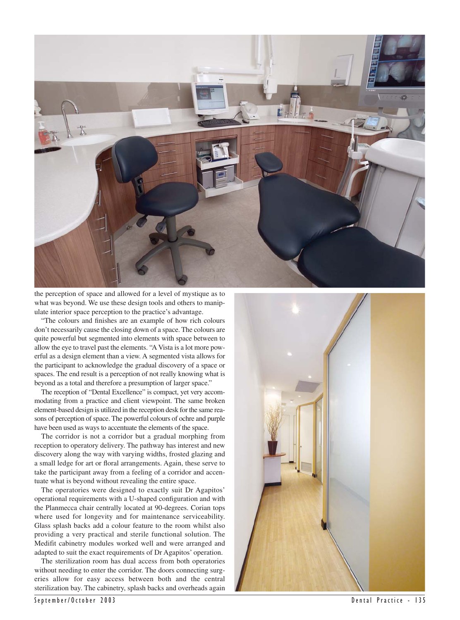

the perception of space and allowed for a level of mystique as to what was beyond. We use these design tools and others to manipulate interior space perception to the practice's advantage.

"The colours and finishes are an example of how rich colours don't necessarily cause the closing down of a space. The colours are quite powerful but segmented into elements with space between to allow the eye to travel past the elements. "A Vista is a lot more powerful as a design element than a view. A segmented vista allows for the participant to acknowledge the gradual discovery of a space or spaces. The end result is a perception of not really knowing what is beyond as a total and therefore a presumption of larger space."

The reception of "Dental Excellence" is compact, yet very accommodating from a practice and client viewpoint. The same broken element-based design is utilized in the reception desk for the same reasons of perception of space. The powerful colours of ochre and purple have been used as ways to accentuate the elements of the space.

The corridor is not a corridor but a gradual morphing from reception to operatory delivery. The pathway has interest and new discovery along the way with varying widths, frosted glazing and a small ledge for art or floral arrangements. Again, these serve to take the participant away from a feeling of a corridor and accentuate what is beyond without revealing the entire space.

The operatories were designed to exactly suit Dr Agapitos' operational requirements with a U-shaped configuration and with the Planmecca chair centrally located at 90-degrees. Corian tops where used for longevity and for maintenance serviceability. Glass splash backs add a colour feature to the room whilst also providing a very practical and sterile functional solution. The Medifit cabinetry modules worked well and were arranged and adapted to suit the exact requirements of Dr Agapitos' operation.

The sterilization room has dual access from both operatories without needing to enter the corridor. The doors connecting surgeries allow for easy access between both and the central sterilization bay. The cabinetry, splash backs and overheads again